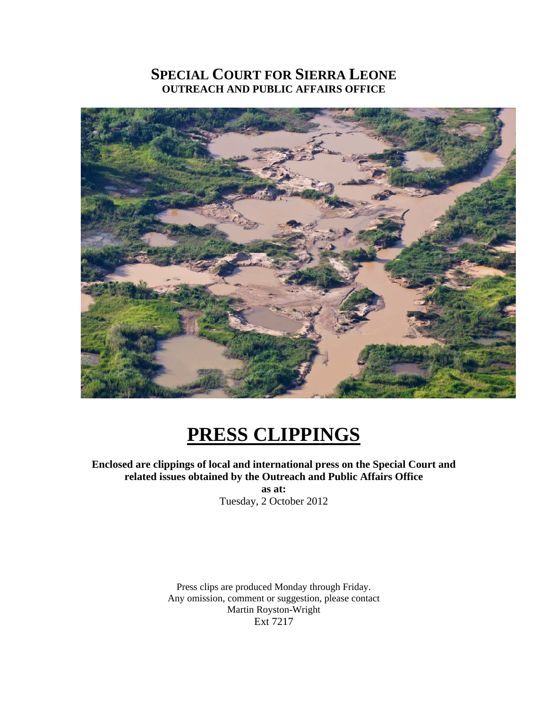## **SPECIAL COURT FOR SIERRA LEONE OUTREACH AND PUBLIC AFFAIRS OFFICE**



# **PRESS CLIPPINGS**

**Enclosed are clippings of local and international press on the Special Court and related issues obtained by the Outreach and Public Affairs Office** 

> Tuesday, 2 October 2012 **as at:**

Press clips are produced Monday through Friday. Any omission, comment or suggestion, please contact Martin Royston-Wright Ext 7217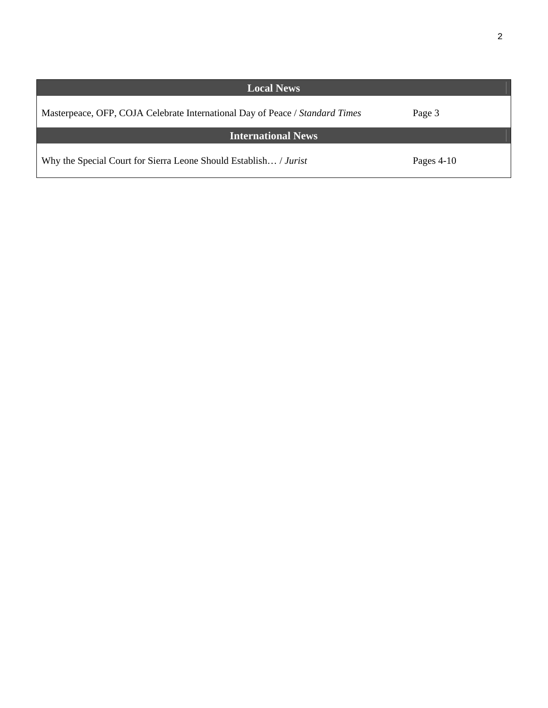| <b>Local News</b>                                                            |              |
|------------------------------------------------------------------------------|--------------|
| Masterpeace, OFP, COJA Celebrate International Day of Peace / Standard Times | Page 3       |
| <b>International News</b>                                                    |              |
| Why the Special Court for Sierra Leone Should Establish / Jurist             | Pages $4-10$ |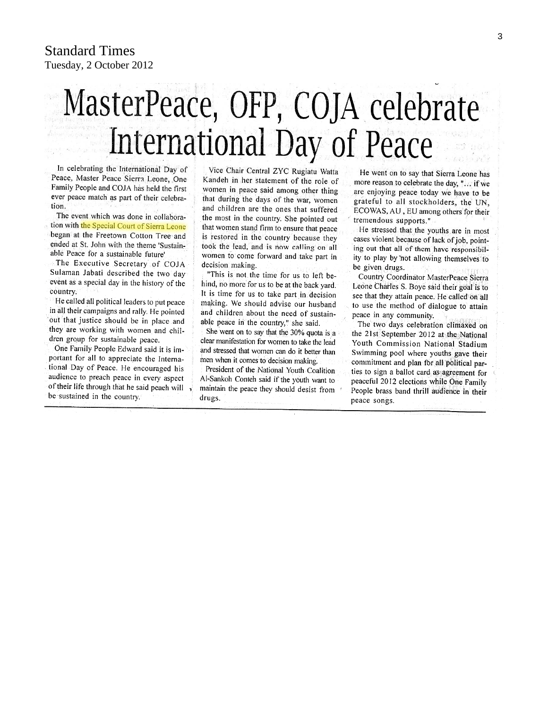# MasterPeace, OFP, COJA celebrate International Day of Peace

In celebrating the International Day of Peace, Master Peace Sierra Leone, One Family People and COJA has held the first ever peace match as part of their celebration.

The event which was done in collaboration with the Special Court of Sierra Leone began at the Freetown Cotton Tree and ended at St. John with the theme 'Sustainable Peace for a sustainable future'

The Executive Secretary of COJA Sulaman Jabati described the two day event as a special day in the history of the country.

He called all political leaders to put peace in all their campaigns and rally. He pointed out that justice should be in place and they are working with women and children group for sustainable peace.

One Family People Edward said it is important for all to appreciate the International Day of Peace. He encouraged his audience to preach peace in every aspect of their life through that he said peach will, be sustained in the country.

Vice Chair Central ZYC Rugiatu Watta Kandeh in her statement of the role of women in peace said among other thing that during the days of the war, women and children are the ones that suffered the most in the country. She pointed out that women stand firm to ensure that peace is restored in the country because they took the lead, and is now calling on all. women to come forward and take part in decision making.

"This is not the time for us to left behind, no more for us to be at the back yard. It is time for us to take part in decision making. We should advise our husband and children about the need of sustainable peace in the country," she said.

She went on to say that the 30% quota is a clear manifestation for women to take the lead and stressed that women can do it better than men when it comes to decision making.

President of the National Youth Coalition Al-Sankoh Conteh said if the youth want to maintain the peace they should desist from drugs.

He went on to say that Sierra Leone has more reason to celebrate the day, "... if we are enjoying peace today we have to be grateful to all stockholders, the UN, ECOWAS, AU, EU among others for their tremendous supports."

He stressed that the youths are in most cases violent because of lack of job, pointing out that all of them have responsibility to play by not allowing themselves to be given drugs.

Country Coordinator MasterPeace Sierra Leone Charles S. Boye said their goal is to see that they attain peace. He called on all to use the method of dialogue to attain peace in any community.

The two days celebration climaxed on the 21st September 2012 at the National Youth Commission National Stadium Swimming pool where youths gave their commitment and plan for all political parties to sign a ballot card as agreement for peaceful 2012 elections while One Family People brass band thrill audience in their peace songs.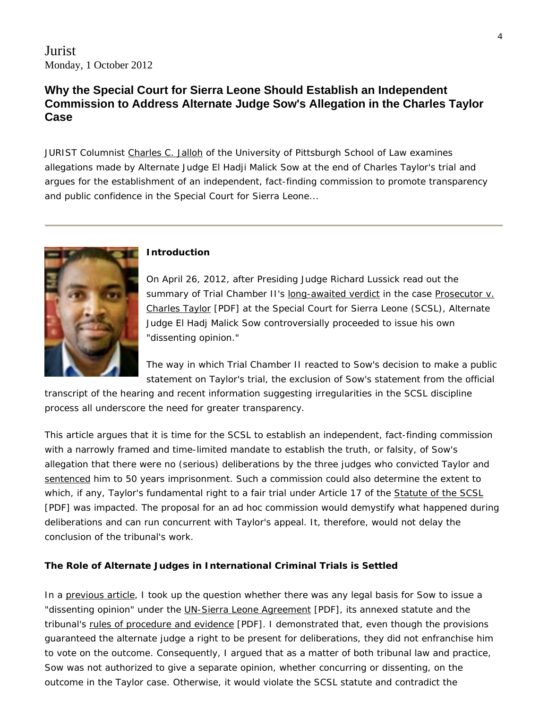Jurist Monday, 1 October 2012

### **Why the Special Court for Sierra Leone Should Establish an Independent Commission to Address Alternate Judge Sow's Allegation in the Charles Taylor Case**

JURIST Columnist [Charles C. Jalloh](http://www.law.pitt.edu/faculty/profiles/jallohc) of the University of Pittsburgh School of Law examines allegations made by Alternate Judge El Hadji Malick Sow at the end of Charles Taylor's trial and argues for the establishment of an independent, fact-finding commission to promote transparency and public confidence in the Special Court for Sierra Leone...



#### **Introduction**

On April 26, 2012, after Presiding Judge Richard Lussick read out the summary of Trial Chamber II's [long-awaited verdict](http://jurist.org/paperchase/2012/04/charles-taylor-convicted-of-war-crimes.php) in the case Prosecutor v. [Charles Taylor](http://www.sc-sl.org/LinkClick.aspx?fileticket=86r0nQUtK08%3d&tabid=53) [PDF] at the Special Court for Sierra Leone (SCSL), Alternate Judge El Hadj Malick Sow controversially proceeded to issue his own "dissenting opinion."

The way in which Trial Chamber II reacted to Sow's decision to make a public statement on Taylor's trial, the exclusion of Sow's statement from the official

transcript of the hearing and recent information suggesting irregularities in the SCSL discipline process all underscore the need for greater transparency.

This article argues that it is time for the SCSL to establish an independent, fact-finding commission with a narrowly framed and time-limited mandate to establish the truth, or falsity, of Sow's allegation that there were no (serious) deliberations by the three judges who convicted Taylor and [sentenced](http://jurist.org/paperchase/2012/05/charles-taylor-sentenced-to-50-years-for-war-crimes.php) him to 50 years imprisonment. Such a commission could also determine the extent to which, if any, Taylor's fundamental right to a fair trial under Article 17 of the [Statute of the SCSL](http://www.sc-sl.org/LinkClick.aspx?fileticket=uClnd1MJeEw%3D&) [PDF] was impacted. The proposal for an *ad hoc* commission would demystify what happened during deliberations and can run concurrent with Taylor's appeal. It, therefore, would not delay the conclusion of the tribunal's work.

#### **The Role of Alternate Judges in International Criminal Trials is Settled**

In a [previous article,](http://jurist.org/forum/2012/05/charles-jalloh-taylor-verdict.php) I took up the question whether there was any legal basis for Sow to issue a "dissenting opinion" under the **UN-Sierra Leone Agreement** [PDF], its annexed statute and the tribunal's [rules of procedure and evidence](http://www.sc-sl.org/LinkClick.aspx?fileticket=Psp%2bFh0%2bwSI%3d&tabid=176) [PDF]. I demonstrated that, even though the provisions guaranteed the alternate judge a right to be present for deliberations, they did not enfranchise him to vote on the outcome. Consequently, I argued that as a matter of both tribunal law and practice, Sow was not authorized to give a separate opinion, whether concurring or dissenting, on the outcome in the Taylor case. Otherwise, it would violate the SCSL statute and contradict the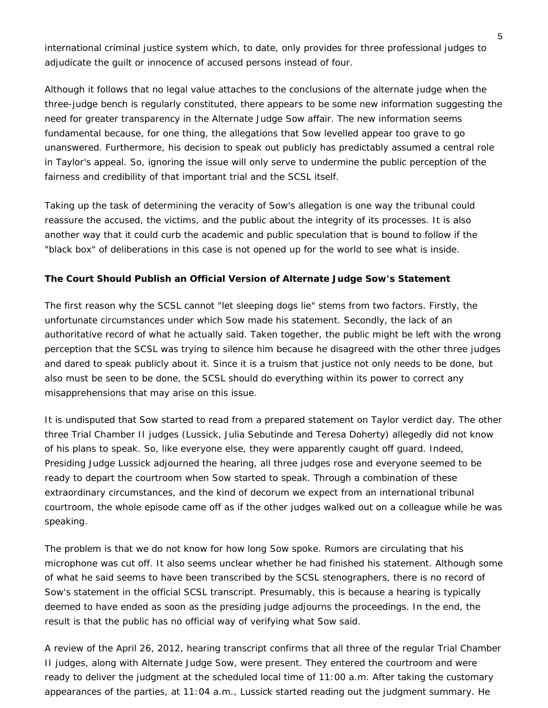international criminal justice system which, to date, only provides for three professional judges to adjudicate the guilt or innocence of accused persons instead of four.

Although it follows that no legal value attaches to the conclusions of the alternate judge when the three-judge bench is regularly constituted, there appears to be some new information suggesting the need for greater transparency in the Alternate Judge Sow affair. The new information seems fundamental because, for one thing, the allegations that Sow levelled appear too grave to go unanswered. Furthermore, his decision to speak out publicly has predictably assumed a central role in Taylor's appeal. So, ignoring the issue will only serve to undermine the public perception of the fairness and credibility of that important trial and the SCSL itself.

Taking up the task of determining the veracity of Sow's allegation is one way the tribunal could reassure the accused, the victims, and the public about the integrity of its processes. It is also another way that it could curb the academic and public speculation that is bound to follow if the "black box" of deliberations in this case is not opened up for the world to see what is inside.

#### **The Court Should Publish an Official Version of Alternate Judge Sow's Statement**

The first reason why the SCSL cannot "let sleeping dogs lie" stems from two factors. Firstly, the unfortunate circumstances under which Sow made his statement. Secondly, the lack of an authoritative record of what he actually said. Taken together, the public might be left with the wrong perception that the SCSL was trying to silence him because he disagreed with the other three judges and dared to speak publicly about it. Since it is a truism that justice not only needs to be done, but also must be seen to be done, the SCSL should do everything within its power to correct any misapprehensions that may arise on this issue.

It is undisputed that Sow started to read from a prepared statement on Taylor verdict day. The other three Trial Chamber II judges (Lussick, Julia Sebutinde and Teresa Doherty) allegedly did not know of his plans to speak. So, like everyone else, they were apparently caught off guard. Indeed, Presiding Judge Lussick adjourned the hearing, all three judges rose and everyone seemed to be ready to depart the courtroom when Sow started to speak. Through a combination of these extraordinary circumstances, and the kind of decorum we expect from an international tribunal courtroom, the whole episode came off as if the other judges walked out on a colleague while he was speaking.

The problem is that we do not know for how long Sow spoke. Rumors are circulating that his microphone was cut off. It also seems unclear whether he had finished his statement. Although some of what he said seems to have been transcribed by the SCSL stenographers, there is no record of Sow's statement in the official SCSL transcript. Presumably, this is because a hearing is typically deemed to have ended as soon as the presiding judge adjourns the proceedings. In the end, the result is that the public has no official way of verifying what Sow said.

A review of the April 26, 2012, hearing transcript confirms that all three of the regular Trial Chamber II judges, along with Alternate Judge Sow, were present. They entered the courtroom and were ready to deliver the judgment at the scheduled local time of 11:00 a.m. After taking the customary appearances of the parties, at 11:04 a.m., Lussick started reading out the judgment summary. He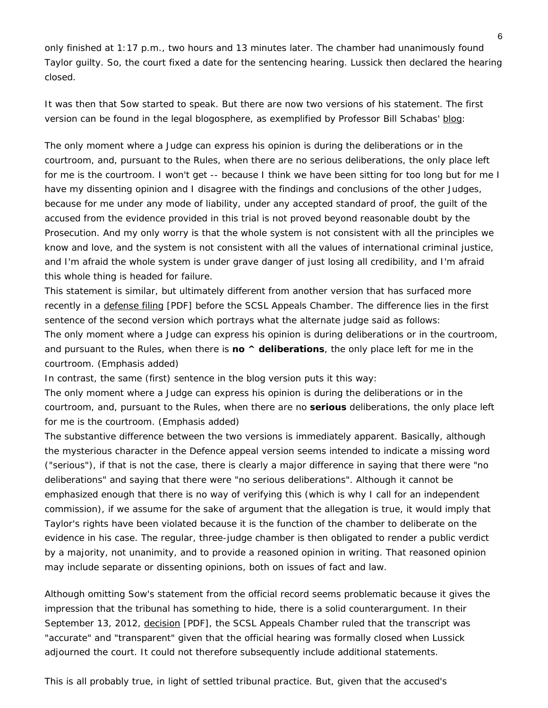only finished at 1:17 p.m., two hours and 13 minutes later. The chamber had unanimously found Taylor guilty. So, the court fixed a date for the sentencing hearing. Lussick then declared the hearing closed.

It was then that Sow started to speak. But there are now two versions of his statement. The first version can be found in the legal blogosphere, as exemplified by Professor Bill Schabas' [blog](http://humanrightsdoctorate.blogspot.com/2012/04/charles-taylor-judgment-suggests-more.html):

The only moment where a Judge can express his opinion is during the deliberations or in the courtroom, and, pursuant to the Rules, when there are no serious deliberations, the only place left for me is the courtroom. I won't get -- because I think we have been sitting for too long but for me I have my dissenting opinion and I disagree with the findings and conclusions of the other Judges, because for me under any mode of liability, under any accepted standard of proof, the guilt of the accused from the evidence provided in this trial is not proved beyond reasonable doubt by the Prosecution. And my only worry is that the whole system is not consistent with all the principles we know and love, and the system is not consistent with all the values of international criminal justice, and I'm afraid the whole system is under grave danger of just losing all credibility, and I'm afraid this whole thing is headed for failure.

This statement is similar, but ultimately different from another version that has surfaced more recently in a [defense filing](http://www.sc-sl.org/scsl/public/SCSL-03-01-Talyor%20Appeal/SCSL-03-01-A-1302.pdf) [PDF] before the SCSL Appeals Chamber. The difference lies in the first sentence of the second version which portrays what the alternate judge said as follows: The only moment where a Judge can express his opinion is during deliberations or in the courtroom, and pursuant to the Rules, *when there is no ^ deliberations, the only place left for me in the courtroom*. (Emphasis added)

In contrast, the same (first) sentence in the blog version puts it this way:

The only moment where a Judge can express his opinion is during the deliberations or in the courtroom, and, pursuant to the Rules, *when there are no serious deliberations, the only place left for me is the courtroom*. (Emphasis added)

The substantive difference between the two versions is immediately apparent. Basically, although the mysterious character in the Defence appeal version seems intended to indicate a missing word ("serious"), if that is not the case, there is clearly a major difference in saying that there were "*no* deliberations" and saying that there were "no *serious* deliberations". Although it cannot be emphasized enough that there is no way of verifying this (which is why I call for an independent commission), if we *assume* for the sake of argument that the allegation is true, it would imply that Taylor's rights have been violated because it is the function of the chamber to deliberate on the evidence in his case. The regular, three-judge chamber is then obligated to render a public verdict by a majority, not unanimity, and to provide a reasoned opinion in writing. That reasoned opinion may include separate or dissenting opinions, both on issues of fact and law.

Although omitting Sow's statement from the official record seems problematic because it gives the impression that the tribunal has something to hide, there is a solid counterargument. In their September 13, 2012, [decision](http://www.sc-sl.org/LinkClick.aspx?fileticket=E7Gg0ioFXiY%3d&tabid=191) [PDF], the SCSL Appeals Chamber ruled that the transcript was "accurate" and "transparent" given that the official hearing was formally closed when Lussick adjourned the court. It could not therefore subsequently include additional statements.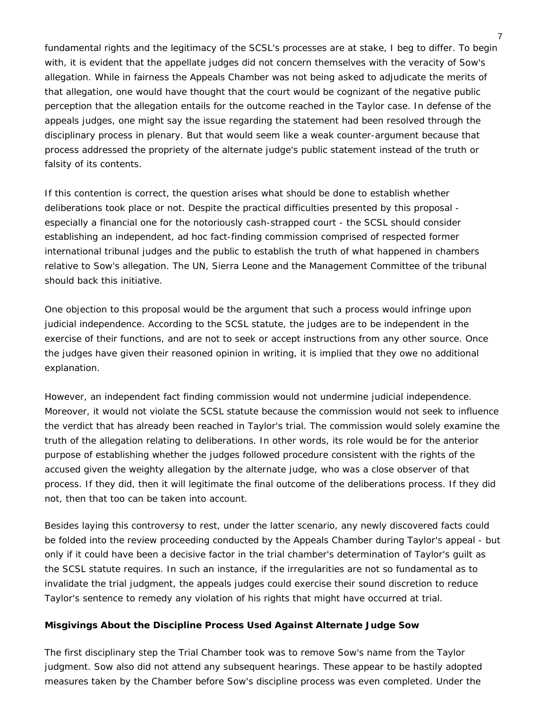fundamental rights and the legitimacy of the SCSL's processes are at stake, I beg to differ. To begin with, it is evident that the appellate judges did not concern themselves with the veracity of Sow's allegation. While in fairness the Appeals Chamber was not being asked to adjudicate the merits of that allegation, one would have thought that the court would be cognizant of the negative public perception that the allegation entails for the outcome reached in the Taylor case. In defense of the appeals judges, one might say the issue regarding the statement had been resolved through the disciplinary process in plenary. But that would seem like a weak counter-argument because that process addressed the *propriety* of the alternate judge's public statement instead of the *truth* or *falsity* of its contents.

If this contention is correct, the question arises what should be done to establish whether deliberations took place or not. Despite the practical difficulties presented by this proposal especially a financial one for the notoriously cash-strapped court - the SCSL should consider establishing an independent, *ad hoc* fact-finding commission comprised of respected former international tribunal judges and the public to establish the truth of what happened in chambers relative to Sow's allegation. The UN, Sierra Leone and the Management Committee of the tribunal should back this initiative.

One objection to this proposal would be the argument that such a process would infringe upon judicial independence. According to the SCSL statute, the judges are to be independent in the exercise of their functions, and are not to seek or accept instructions from any other source. Once the judges have given their reasoned opinion in writing, it is implied that they owe no additional explanation.

However, an independent fact finding commission would not undermine judicial independence. Moreover, it would not violate the SCSL statute because the commission would not seek to influence the verdict that has already been reached in Taylor's trial. The commission would solely examine the truth of the allegation relating to deliberations. In other words, its role would be for the *anterior* purpose of establishing whether the judges followed procedure consistent with the rights of the accused given the weighty allegation by the alternate judge, who was a close observer of that process. If they did, then it will legitimate the final outcome of the deliberations process. If they did not, then that too can be taken into account.

Besides laying this controversy to rest, under the latter scenario, any newly discovered facts could be folded into the review proceeding conducted by the Appeals Chamber during Taylor's appeal - but only if it could have been a decisive factor in the trial chamber's determination of Taylor's guilt as the SCSL statute requires. In such an instance, if the irregularities are not so fundamental as to invalidate the trial judgment, the appeals judges could exercise their sound discretion to reduce Taylor's sentence to remedy any violation of his rights that might have occurred at trial.

#### **Misgivings About the Discipline Process Used Against Alternate Judge Sow**

The first disciplinary step the Trial Chamber took was to remove Sow's name from the Taylor judgment. Sow also did not attend any subsequent hearings. These appear to be hastily adopted measures taken by the Chamber before Sow's discipline process was even completed. Under the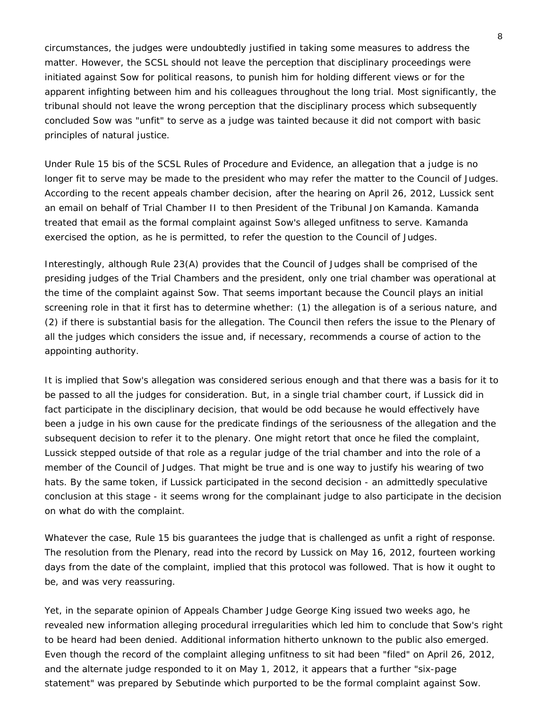circumstances, the judges were undoubtedly justified in taking *some* measures to address the matter. However, the SCSL should not leave the perception that disciplinary proceedings were initiated against Sow for political reasons, to punish him for holding different views or for the apparent infighting between him and his colleagues throughout the long trial. Most significantly, the tribunal should not leave the wrong perception that the disciplinary process which subsequently concluded Sow was "unfit" to serve as a judge was tainted because it did not comport with basic principles of natural justice.

Under Rule 15 *bis* of the SCSL Rules of Procedure and Evidence, an allegation that a judge is no longer fit to serve may be made to the president who may refer the matter to the Council of Judges. According to the recent appeals chamber decision, after the hearing on April 26, 2012, Lussick sent an email on behalf of Trial Chamber II to then President of the Tribunal Jon Kamanda. Kamanda treated that email as the formal complaint against Sow's alleged unfitness to serve. Kamanda exercised the option, as he is permitted, to refer the question to the Council of Judges.

Interestingly, although Rule 23(A) provides that the Council of Judges shall be comprised of the presiding judges of the Trial Chambers and the president, only one trial chamber was operational at the time of the complaint against Sow. That seems important because the Council plays an initial screening role in that it first has to determine whether: (1) the allegation is of a serious nature, and (2) if there is substantial basis for the allegation. The Council then refers the issue to the Plenary of all the judges which considers the issue and, if necessary, recommends a course of action to the appointing authority.

It is implied that Sow's allegation was considered serious enough and that there was a basis for it to be passed to all the judges for consideration. But, in a single trial chamber court, if Lussick did in fact participate in the disciplinary decision, that would be odd because he would effectively have been a judge in his own cause for the predicate findings of the seriousness of the allegation and the subsequent decision to refer it to the plenary. One might retort that once he filed the complaint, Lussick stepped outside of that role as a regular judge of the trial chamber and into the role of a member of the Council of Judges. That might be true and is one way to justify his wearing of two hats. By the same token, if Lussick participated in the second decision - an admittedly speculative conclusion at this stage - it seems wrong for the complainant judge to also participate in the decision on what do with the complaint.

Whatever the case, Rule 15 *bis* guarantees the judge that is challenged as unfit a right of response. The resolution from the Plenary, read into the record by Lussick on May 16, 2012, fourteen working days from the date of the complaint, implied that this protocol was followed. That is how it ought to be, and was very reassuring.

Yet, in the separate opinion of Appeals Chamber Judge George King issued two weeks ago, he revealed new information alleging procedural irregularities which led him to conclude that Sow's right to be heard had been denied. Additional information hitherto unknown to the public also emerged. Even though the record of the complaint alleging unfitness to sit had been "filed" on April 26, 2012, and the alternate judge responded to it on May 1, 2012, it appears that a further "six-page statement" was prepared by Sebutinde which purported to be the formal complaint against Sow.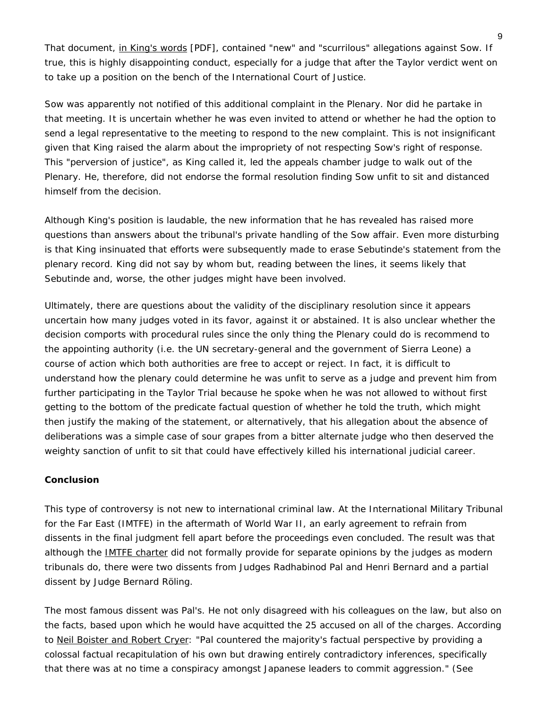That document, [in King's words](http://www.sc-sl.org/LinkClick.aspx?fileticket=KEdROjNDCAY%3D&tabid=191) [PDF], contained "new" and "scurrilous" allegations against Sow. If true, this is highly disappointing conduct, especially for a judge that after the Taylor verdict went on to take up a position on the bench of the International Court of Justice.

Sow was apparently not notified of this additional complaint in the Plenary. Nor did he partake in that meeting. It is uncertain whether he was even invited to attend or whether he had the option to send a legal representative to the meeting to respond to the new complaint. This is not insignificant given that King raised the alarm about the impropriety of not respecting Sow's right of response. This "perversion of justice", as King called it, led the appeals chamber judge to walk out of the Plenary. He, therefore, did not endorse the formal resolution finding Sow unfit to sit and distanced himself from the decision.

Although King's position is laudable, the new information that he has revealed has raised more questions than answers about the tribunal's private handling of the Sow affair. Even more disturbing is that King insinuated that efforts were subsequently made to erase Sebutinde's statement from the plenary record. King did not say by whom but, reading between the lines, it seems likely that Sebutinde and, worse, the other judges might have been involved.

Ultimately, there are questions about the validity of the disciplinary resolution since it appears uncertain how many judges voted in its favor, against it or abstained. It is also unclear whether the decision comports with procedural rules since the only thing the Plenary could do is recommend to the appointing authority (i.e. the UN secretary-general and the government of Sierra Leone) a course of action which both authorities are free to accept or reject. In fact, it is difficult to understand how the plenary could determine he was unfit to serve as a judge and prevent him from further participating in the Taylor Trial because he spoke when he was not allowed to without first getting to the bottom of the predicate factual question of whether he told the truth, which might then justify the making of the statement, or alternatively, that his allegation about the absence of deliberations was a simple case of sour grapes from a bitter alternate judge who then deserved the weighty sanction of unfit to sit that could have effectively killed his international judicial career.

#### **Conclusion**

This type of controversy is not new to international criminal law. At the International Military Tribunal for the Far East (IMTFE) in the aftermath of World War II, an early agreement to refrain from dissents in the final judgment fell apart before the proceedings even concluded. The result was that although the [IMTFE charter](http://www.jus.uio.no/english/services/library/treaties/04/4-06/military-tribunal-far-east.xml) did not formally provide for separate opinions by the judges as modern tribunals do, there were two dissents from Judges Radhabinod Pal and Henri Bernard and a partial dissent by Judge Bernard Röling.

The most famous dissent was Pal's. He not only disagreed with his colleagues on the law, but also on the facts, based upon which he would have acquitted the 25 accused on all of the charges. According to [Neil Boister and Robert Cryer:](http://www.amazon.com/Documents-Tokyo-International-Military-Tribunal/dp/0199541922) "Pal countered the majority's factual perspective by providing a colossal factual recapitulation of his own but drawing entirely contradictory inferences, specifically that there was at no time a conspiracy amongst Japanese leaders to commit aggression." (See